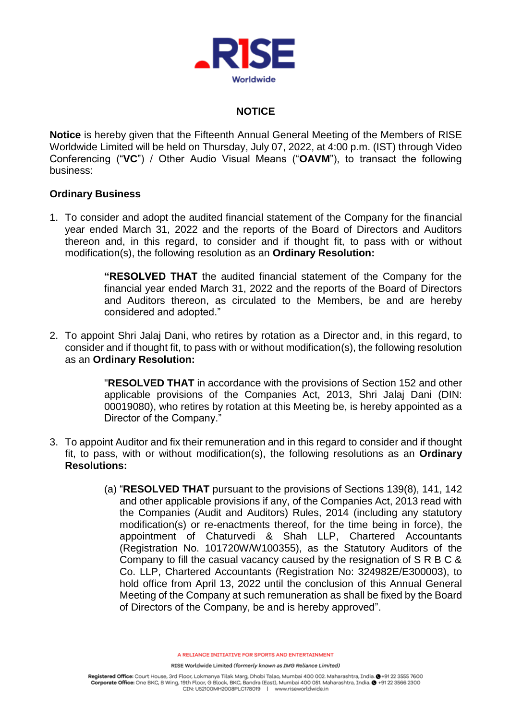

#### **NOTICE**

**Notice** is hereby given that the Fifteenth Annual General Meeting of the Members of RISE Worldwide Limited will be held on Thursday, July 07, 2022, at 4:00 p.m. (IST) through Video Conferencing ("**VC**") / Other Audio Visual Means ("**OAVM**"), to transact the following business:

#### **Ordinary Business**

1. To consider and adopt the audited financial statement of the Company for the financial year ended March 31, 2022 and the reports of the Board of Directors and Auditors thereon and, in this regard, to consider and if thought fit, to pass with or without modification(s), the following resolution as an **Ordinary Resolution:**

> **"RESOLVED THAT** the audited financial statement of the Company for the financial year ended March 31, 2022 and the reports of the Board of Directors and Auditors thereon, as circulated to the Members, be and are hereby considered and adopted."

2. To appoint Shri Jalaj Dani, who retires by rotation as a Director and, in this regard, to consider and if thought fit, to pass with or without modification(s), the following resolution as an **Ordinary Resolution:**

> "**RESOLVED THAT** in accordance with the provisions of Section 152 and other applicable provisions of the Companies Act, 2013, Shri Jalaj Dani (DIN: 00019080), who retires by rotation at this Meeting be, is hereby appointed as a Director of the Company."

- 3. To appoint Auditor and fix their remuneration and in this regard to consider and if thought fit, to pass, with or without modification(s), the following resolutions as an **Ordinary Resolutions:**
	- (a) "**RESOLVED THAT** pursuant to the provisions of Sections 139(8), 141, 142 and other applicable provisions if any, of the Companies Act, 2013 read with the Companies (Audit and Auditors) Rules, 2014 (including any statutory modification(s) or re-enactments thereof, for the time being in force), the appointment of Chaturvedi & Shah LLP, Chartered Accountants (Registration No. 101720W/W100355), as the Statutory Auditors of the Company to fill the casual vacancy caused by the resignation of S R B C & Co. LLP, Chartered Accountants (Registration No: 324982E/E300003), to hold office from April 13, 2022 until the conclusion of this Annual General Meeting of the Company at such remuneration as shall be fixed by the Board of Directors of the Company, be and is hereby approved".

A RELIANCE INITIATIVE FOR SPORTS AND ENTERTAINMENT

RISE Worldwide Limited (formerly known as IMG Reliance Limited)

Registered Office: Court House, 3rd Floor, Lokmanya Tilak Marg, Dhobi Talao, Mumbai 400 002. Maharashtra, India. @ +91 22 3555 7600 Corporate Office: One BKC, B Wing, 19th Floor, G Block, BKC, Bandra (East), Mumbai 400 051. Maharashtra, India. @ +91 22 3566 2300 CIN: U52100MH2008PLC178019 | www.riseworldwide.in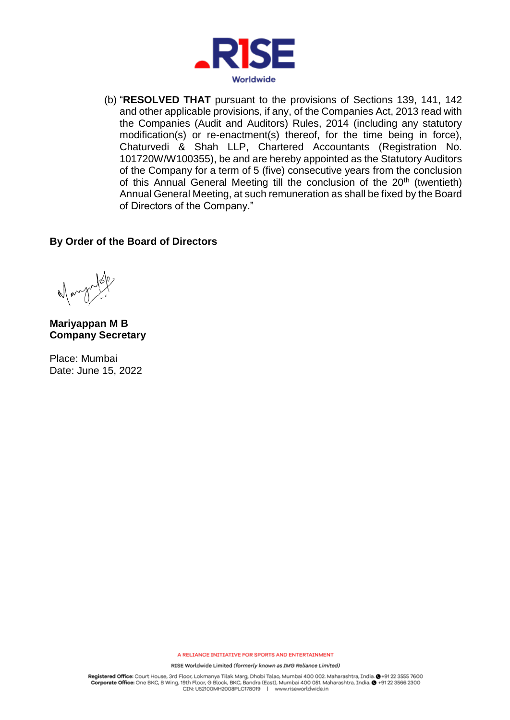

(b) "**RESOLVED THAT** pursuant to the provisions of Sections 139, 141, 142 and other applicable provisions, if any, of the Companies Act, 2013 read with the Companies (Audit and Auditors) Rules, 2014 (including any statutory modification(s) or re-enactment(s) thereof, for the time being in force), Chaturvedi & Shah LLP, Chartered Accountants (Registration No. 101720W/W100355), be and are hereby appointed as the Statutory Auditors of the Company for a term of 5 (five) consecutive years from the conclusion of this Annual General Meeting till the conclusion of the 20<sup>th</sup> (twentieth) Annual General Meeting, at such remuneration as shall be fixed by the Board of Directors of the Company."

#### **By Order of the Board of Directors**

**Mariyappan M B Company Secretary**

Place: Mumbai Date: June 15, 2022

A RELIANCE INITIATIVE FOR SPORTS AND ENTERTAINMENT

RISE Worldwide Limited (formerly known as IMG Reliance Limited)

Registered Office: Court House, 3rd Floor, Lokmanya Tilak Marg, Dhobi Talao, Mumbai 400 002. Maharashtra, India. @+91 22 3555 7600 Corporate Office: One BKC, B Wing, 19th Floor, G Block, BKC, Bandra (East), Mumbai 400 051. Maharashtra, India. @ +91 22 3566 2300 CIN: U52100MH2008PLC178019 | www.riseworldwide.in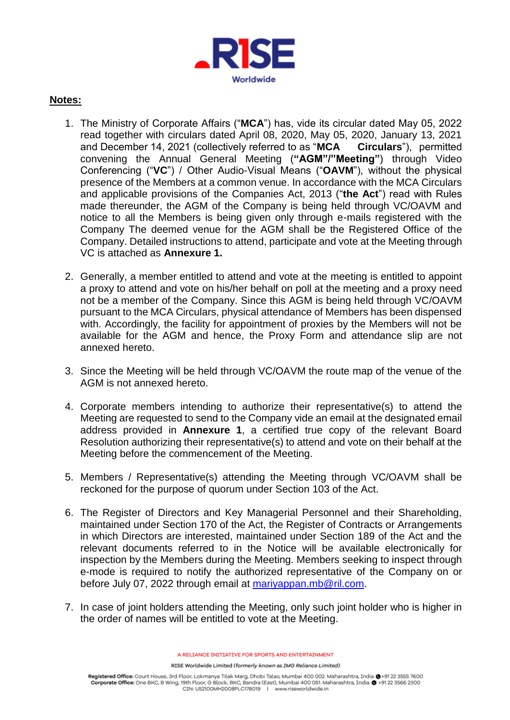

#### **Notes:**

- 1. The Ministry of Corporate Affairs ("**MCA**") has, vide its circular dated May 05, 2022 read together with circulars dated April 08, 2020, May 05, 2020, January 13, 2021<br>and December 14, 2021 (collectively referred to as "MCA Circulars"), permitted and December 14, 2021 (collectively referred to as "MCA convening the Annual General Meeting (**"AGM"/"Meeting"**) through Video Conferencing ("**VC**") / Other Audio-Visual Means ("**OAVM**"), without the physical presence of the Members at a common venue. In accordance with the MCA Circulars and applicable provisions of the Companies Act, 2013 ("**the Act**") read with Rules made thereunder, the AGM of the Company is being held through VC/OAVM and notice to all the Members is being given only through e-mails registered with the Company The deemed venue for the AGM shall be the Registered Office of the Company. Detailed instructions to attend, participate and vote at the Meeting through VC is attached as **Annexure 1.**
- 2. Generally, a member entitled to attend and vote at the meeting is entitled to appoint a proxy to attend and vote on his/her behalf on poll at the meeting and a proxy need not be a member of the Company. Since this AGM is being held through VC/OAVM pursuant to the MCA Circulars, physical attendance of Members has been dispensed with. Accordingly, the facility for appointment of proxies by the Members will not be available for the AGM and hence, the Proxy Form and attendance slip are not annexed hereto.
- 3. Since the Meeting will be held through VC/OAVM the route map of the venue of the AGM is not annexed hereto.
- 4. Corporate members intending to authorize their representative(s) to attend the Meeting are requested to send to the Company vide an email at the designated email address provided in **Annexure 1**, a certified true copy of the relevant Board Resolution authorizing their representative(s) to attend and vote on their behalf at the Meeting before the commencement of the Meeting.
- 5. Members / Representative(s) attending the Meeting through VC/OAVM shall be reckoned for the purpose of quorum under Section 103 of the Act.
- 6. The Register of Directors and Key Managerial Personnel and their Shareholding, maintained under Section 170 of the Act, the Register of Contracts or Arrangements in which Directors are interested, maintained under Section 189 of the Act and the relevant documents referred to in the Notice will be available electronically for inspection by the Members during the Meeting. Members seeking to inspect through e-mode is required to notify the authorized representative of the Company on or before July 07, 2022 through email at [mariyappan.mb@ril.com.](mailto:mariyappan.mb@ril.com)
- 7. In case of joint holders attending the Meeting, only such joint holder who is higher in the order of names will be entitled to vote at the Meeting.

A RELIANCE INITIATIVE FOR SPORTS AND ENTERTAINMENT

RISE Worldwide Limited (formerly known as IMG Reliance Limited)

Registered Office: Court House, 3rd Floor, Lokmanya Tilak Marg, Dhobi Talao, Mumbai 400 002. Maharashtra, India. @ +91 22 3555 7600 Corporate Office: One BKC, B Wing, 19th Floor, G Block, BKC, Bandra (East), Mumbai 400 051. Maharashtra, India. @ +91 22 3566 2300 CIN: U52100MH2008PLC178019 | www.riseworldwide.in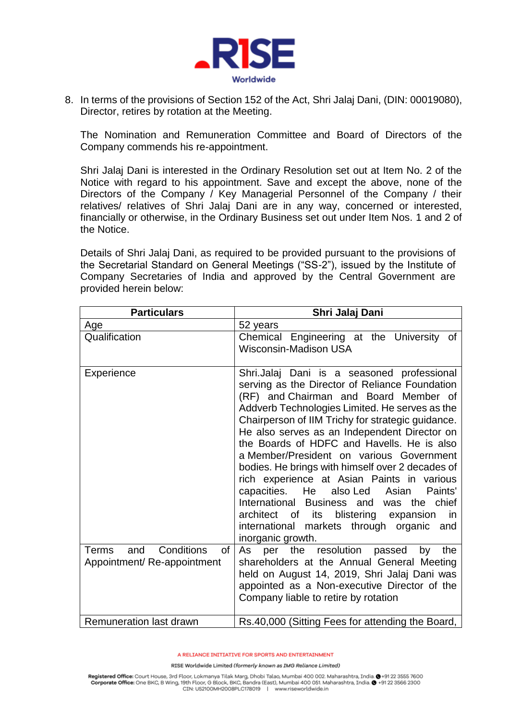

8. In terms of the provisions of Section 152 of the Act, Shri Jalaj Dani, (DIN: 00019080), Director, retires by rotation at the Meeting.

The Nomination and Remuneration Committee and Board of Directors of the Company commends his re-appointment.

Shri Jalaj Dani is interested in the Ordinary Resolution set out at Item No. 2 of the Notice with regard to his appointment. Save and except the above, none of the Directors of the Company / Key Managerial Personnel of the Company / their relatives/ relatives of Shri Jalaj Dani are in any way, concerned or interested, financially or otherwise, in the Ordinary Business set out under Item Nos. 1 and 2 of the Notice.

Details of Shri Jalaj Dani, as required to be provided pursuant to the provisions of the Secretarial Standard on General Meetings ("SS-2"), issued by the Institute of Company Secretaries of India and approved by the Central Government are provided herein below:

| <b>Particulars</b>                                                    | Shri Jalaj Dani                                                                                                                                                                                                                                                                                                                                                                                                                                                                                                                                                                                                                                                                                          |  |
|-----------------------------------------------------------------------|----------------------------------------------------------------------------------------------------------------------------------------------------------------------------------------------------------------------------------------------------------------------------------------------------------------------------------------------------------------------------------------------------------------------------------------------------------------------------------------------------------------------------------------------------------------------------------------------------------------------------------------------------------------------------------------------------------|--|
| Age                                                                   | 52 years                                                                                                                                                                                                                                                                                                                                                                                                                                                                                                                                                                                                                                                                                                 |  |
| Qualification                                                         | Chemical Engineering at the University of<br><b>Wisconsin-Madison USA</b>                                                                                                                                                                                                                                                                                                                                                                                                                                                                                                                                                                                                                                |  |
| <b>Experience</b>                                                     | Shri.Jalaj Dani is a seasoned professional<br>serving as the Director of Reliance Foundation<br>(RF) and Chairman and Board Member of<br>Addverb Technologies Limited. He serves as the<br>Chairperson of IIM Trichy for strategic guidance.<br>He also serves as an Independent Director on<br>the Boards of HDFC and Havells. He is also<br>a Member/President on various Government<br>bodies. He brings with himself over 2 decades of<br>rich experience at Asian Paints in various<br>capacities.<br>He also Led<br>Paints'<br>Asian<br>International Business and was the chief<br>architect of its blistering expansion<br>in.<br>international markets through organic and<br>inorganic growth. |  |
| Conditions<br><b>Terms</b><br>and<br>of<br>Appointment/Re-appointment | As per the resolution passed<br>the<br>by<br>shareholders at the Annual General Meeting<br>held on August 14, 2019, Shri Jalaj Dani was<br>appointed as a Non-executive Director of the<br>Company liable to retire by rotation                                                                                                                                                                                                                                                                                                                                                                                                                                                                          |  |
| Remuneration last drawn                                               | Rs.40,000 (Sitting Fees for attending the Board,                                                                                                                                                                                                                                                                                                                                                                                                                                                                                                                                                                                                                                                         |  |

A RELIANCE INITIATIVE FOR SPORTS AND ENTERTAINMENT

RISE Worldwide Limited (formerly known as IMG Reliance Limited)

Registered Office: Court House, 3rd Floor, Lokmanya Tilak Marg, Dhobi Talao, Mumbai 400 002. Maharashtra, India. @ +91 22 3555 7600 Corporate Office: One BKC, B Wing, 19th Floor, G Block, BKC, Bandra (East), Mumbai 400 051. Maharashtra, India. @ +91 22 3566 2300 CIN: U52100MH2008PLC178019 | www.riseworldwide.in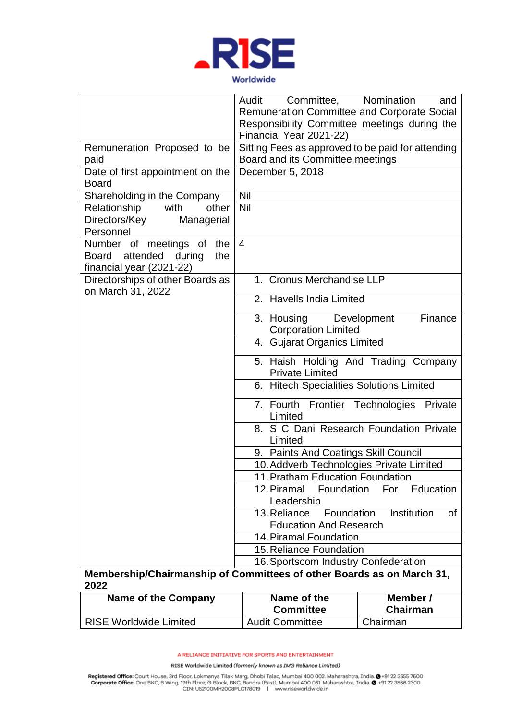

|                                                                               | Committee, Nomination<br>Audit<br>Remuneration Committee and Corporate Social<br>Responsibility Committee meetings during the | and               |  |  |
|-------------------------------------------------------------------------------|-------------------------------------------------------------------------------------------------------------------------------|-------------------|--|--|
|                                                                               | Financial Year 2021-22)                                                                                                       |                   |  |  |
| Remuneration Proposed to be                                                   | Sitting Fees as approved to be paid for attending                                                                             |                   |  |  |
| paid                                                                          | Board and its Committee meetings                                                                                              |                   |  |  |
| Date of first appointment on the                                              | December 5, 2018                                                                                                              |                   |  |  |
| <b>Board</b>                                                                  |                                                                                                                               |                   |  |  |
| Shareholding in the Company                                                   | Nil                                                                                                                           |                   |  |  |
| Relationship<br>with<br>other                                                 | Nil                                                                                                                           |                   |  |  |
| Directors/Key<br>Managerial                                                   |                                                                                                                               |                   |  |  |
| Personnel                                                                     |                                                                                                                               |                   |  |  |
| Number of meetings of<br>the                                                  | $\overline{4}$                                                                                                                |                   |  |  |
| Board attended during<br>the                                                  |                                                                                                                               |                   |  |  |
| financial year (2021-22)                                                      |                                                                                                                               |                   |  |  |
| Directorships of other Boards as<br>on March 31, 2022                         | 1. Cronus Merchandise LLP                                                                                                     |                   |  |  |
|                                                                               | 2. Havells India Limited                                                                                                      |                   |  |  |
|                                                                               | 3. Housing Development<br><b>Corporation Limited</b>                                                                          | Finance           |  |  |
|                                                                               | 4. Gujarat Organics Limited                                                                                                   |                   |  |  |
|                                                                               | 5. Haish Holding And Trading Company<br><b>Private Limited</b>                                                                |                   |  |  |
|                                                                               | 6. Hitech Specialities Solutions Limited                                                                                      |                   |  |  |
|                                                                               | 7. Fourth Frontier Technologies Private<br>Limited                                                                            |                   |  |  |
|                                                                               | 8. S C Dani Research Foundation Private                                                                                       |                   |  |  |
|                                                                               | Limited                                                                                                                       |                   |  |  |
|                                                                               | 9. Paints And Coatings Skill Council<br>10. Addverb Technologies Private Limited<br>11. Pratham Education Foundation          |                   |  |  |
|                                                                               |                                                                                                                               |                   |  |  |
|                                                                               |                                                                                                                               |                   |  |  |
|                                                                               | 12. Piramal<br>Foundation                                                                                                     | For<br>Education  |  |  |
|                                                                               | Leadership                                                                                                                    |                   |  |  |
|                                                                               | Foundation<br>13. Reliance                                                                                                    | Institution<br>0f |  |  |
|                                                                               | <b>Education And Research</b>                                                                                                 |                   |  |  |
|                                                                               | 14. Piramal Foundation<br>15. Reliance Foundation                                                                             |                   |  |  |
|                                                                               |                                                                                                                               |                   |  |  |
|                                                                               | 16. Sportscom Industry Confederation                                                                                          |                   |  |  |
| Membership/Chairmanship of Committees of other Boards as on March 31,<br>2022 |                                                                                                                               |                   |  |  |
| <b>Name of the Company</b>                                                    | Name of the                                                                                                                   | Member /          |  |  |
|                                                                               | <b>Committee</b>                                                                                                              | <b>Chairman</b>   |  |  |
| <b>RISE Worldwide Limited</b>                                                 | <b>Audit Committee</b>                                                                                                        | Chairman          |  |  |

RISE Worldwide Limited (formerly known as IMG Reliance Limited)

Registered Office: Court House, 3rd Floor, Lokmanya Tilak Marg, Dhobi Talao, Mumbai 400 002. Maharashtra, India. @ +91 22 3555 7600<br>Corporate Office: One BKC, B Wing, 19th Floor, G Block, BKC, Bandra (East), Mumbai 400 051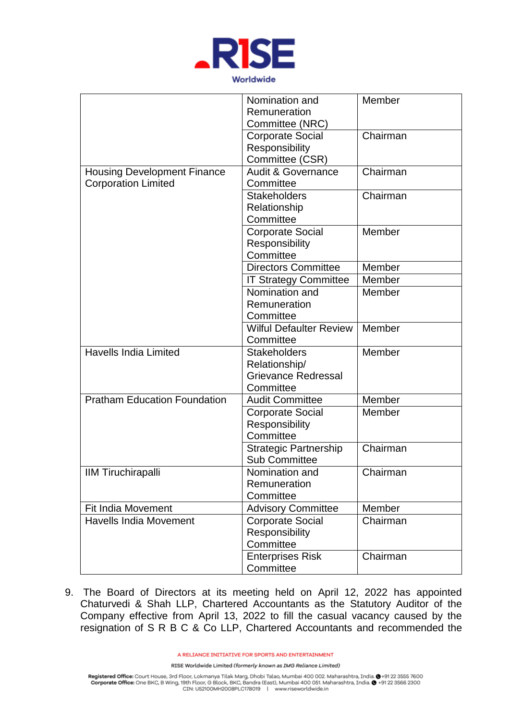

|                                     | Nomination and                 | Member   |
|-------------------------------------|--------------------------------|----------|
|                                     | Remuneration                   |          |
|                                     | Committee (NRC)                |          |
|                                     | <b>Corporate Social</b>        | Chairman |
|                                     | Responsibility                 |          |
|                                     | Committee (CSR)                |          |
| <b>Housing Development Finance</b>  | <b>Audit &amp; Governance</b>  | Chairman |
| <b>Corporation Limited</b>          | Committee                      |          |
|                                     | <b>Stakeholders</b>            | Chairman |
|                                     | Relationship                   |          |
|                                     | Committee                      |          |
|                                     | <b>Corporate Social</b>        | Member   |
|                                     | Responsibility                 |          |
|                                     | Committee                      |          |
|                                     | <b>Directors Committee</b>     | Member   |
|                                     | <b>IT Strategy Committee</b>   | Member   |
|                                     | Nomination and                 | Member   |
|                                     | Remuneration                   |          |
|                                     | Committee                      |          |
|                                     | <b>Wilful Defaulter Review</b> | Member   |
|                                     | Committee                      |          |
| <b>Havells India Limited</b>        | <b>Stakeholders</b>            | Member   |
|                                     | Relationship/                  |          |
|                                     | <b>Grievance Redressal</b>     |          |
|                                     | Committee                      |          |
| <b>Pratham Education Foundation</b> | <b>Audit Committee</b>         | Member   |
|                                     | <b>Corporate Social</b>        | Member   |
|                                     | Responsibility                 |          |
|                                     | Committee                      |          |
|                                     | Strategic Partnership          | Chairman |
|                                     | <b>Sub Committee</b>           |          |
| <b>IIM Tiruchirapalli</b>           | Nomination and                 | Chairman |
|                                     | Remuneration                   |          |
|                                     | Committee                      |          |
| <b>Fit India Movement</b>           | <b>Advisory Committee</b>      | Member   |
| <b>Havells India Movement</b>       | <b>Corporate Social</b>        | Chairman |
|                                     | Responsibility                 |          |
|                                     | Committee                      |          |
|                                     | <b>Enterprises Risk</b>        | Chairman |
|                                     | Committee                      |          |
|                                     |                                |          |

9. The Board of Directors at its meeting held on April 12, 2022 has appointed Chaturvedi & Shah LLP, Chartered Accountants as the Statutory Auditor of the Company effective from April 13, 2022 to fill the casual vacancy caused by the resignation of S R B C & Co LLP, Chartered Accountants and recommended the

A RELIANCE INITIATIVE FOR SPORTS AND ENTERTAINMENT

RISE Worldwide Limited (formerly known as IMG Reliance Limited)

Registered Office: Court House, 3rd Floor, Lokmanya Tilak Marg, Dhobi Talao, Mumbai 400 002. Maharashtra, India. @ +91 22 3555 7600<br>Corporate Office: One BKC, B Wing, 19th Floor, G Block, BKC, Bandra (East), Mumbai 400 051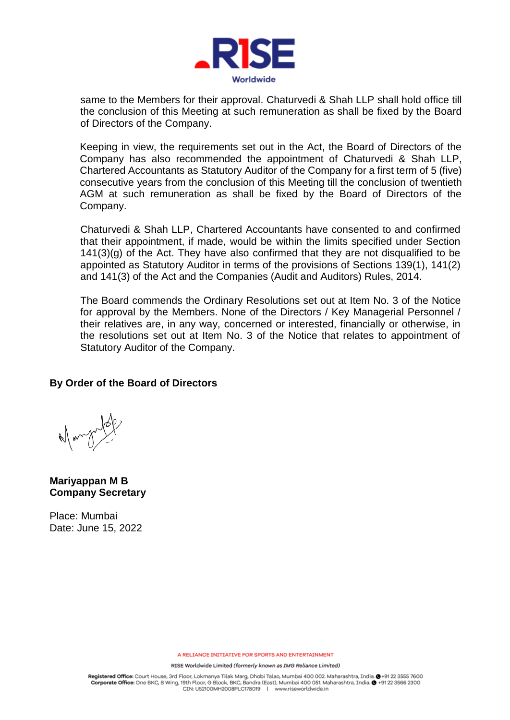

same to the Members for their approval. Chaturvedi & Shah LLP shall hold office till the conclusion of this Meeting at such remuneration as shall be fixed by the Board of Directors of the Company.

Keeping in view, the requirements set out in the Act, the Board of Directors of the Company has also recommended the appointment of Chaturvedi & Shah LLP, Chartered Accountants as Statutory Auditor of the Company for a first term of 5 (five) consecutive years from the conclusion of this Meeting till the conclusion of twentieth AGM at such remuneration as shall be fixed by the Board of Directors of the Company.

Chaturvedi & Shah LLP, Chartered Accountants have consented to and confirmed that their appointment, if made, would be within the limits specified under Section  $141(3)(g)$  of the Act. They have also confirmed that they are not disqualified to be appointed as Statutory Auditor in terms of the provisions of Sections 139(1), 141(2) and 141(3) of the Act and the Companies (Audit and Auditors) Rules, 2014.

The Board commends the Ordinary Resolutions set out at Item No. 3 of the Notice for approval by the Members. None of the Directors / Key Managerial Personnel / their relatives are, in any way, concerned or interested, financially or otherwise, in the resolutions set out at Item No. 3 of the Notice that relates to appointment of Statutory Auditor of the Company.

#### **By Order of the Board of Directors**

**Mariyappan M B Company Secretary**

Place: Mumbai Date: June 15, 2022

A RELIANCE INITIATIVE FOR SPORTS AND ENTERTAINMENT

RISE Worldwide Limited (formerly known as IMG Reliance Limited)

Registered Office: Court House, 3rd Floor, Lokmanya Tilak Marg, Dhobi Talao, Mumbai 400 002. Maharashtra, India. @ +91 22 3555 7600 Corporate Office: One BKC, B Wing, 19th Floor, G Block, BKC, Bandra (East), Mumbai 400 051. Maharashtra, India. @ +91 22 3566 2300 CIN: US2100MH2008PLC178019 | www.riseworldwide.in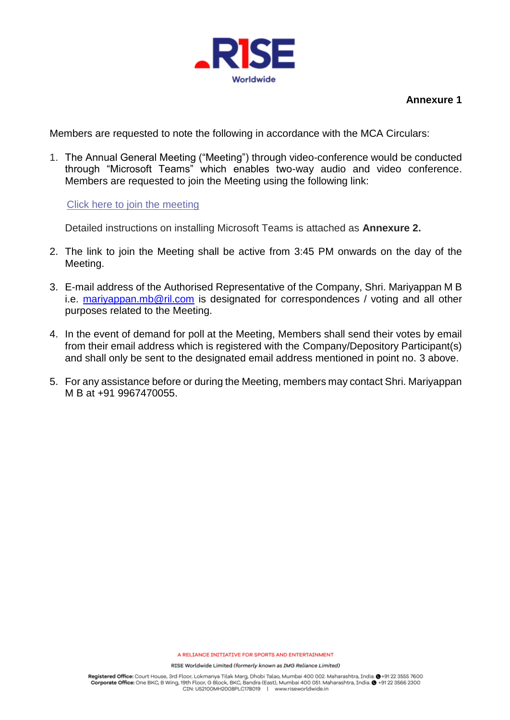

### **Annexure 1**

Members are requested to note the following in accordance with the MCA Circulars:

1. The Annual General Meeting ("Meeting") through video-conference would be conducted through "Microsoft Teams" which enables two-way audio and video conference. Members are requested to join the Meeting using the following link:

Click here to join the [meeting](https://teams.microsoft.com/l/meetup-join/19%3ameeting_YTRkYTk3ZDAtZWI2Ni00Mzg2LTkxMDctOWVmZjUxOTkwODU1%40thread.v2/0?context=%7b%22Tid%22%3a%22fe1d95a9-4ce1-41a5-8eab-6dd43aa26d9f%22%2c%22Oid%22%3a%2272a76307-196c-4d69-ace5-0a695d43c08e%22%7d)

Detailed instructions on installing Microsoft Teams is attached as **Annexure 2.**

- 2. The link to join the Meeting shall be active from 3:45 PM onwards on the day of the Meeting.
- 3. E-mail address of the Authorised Representative of the Company, Shri. Mariyappan M B i.e. [mariyappan.mb@ril.com](mailto:mariyappan.mb@ril.com) is designated for correspondences / voting and all other purposes related to the Meeting.
- 4. In the event of demand for poll at the Meeting, Members shall send their votes by email from their email address which is registered with the Company/Depository Participant(s) and shall only be sent to the designated email address mentioned in point no. 3 above.
- 5. For any assistance before or during the Meeting, members may contact Shri. Mariyappan M B at +91 9967470055.

RISE Worldwide Limited (formerly known as IMG Reliance Limited)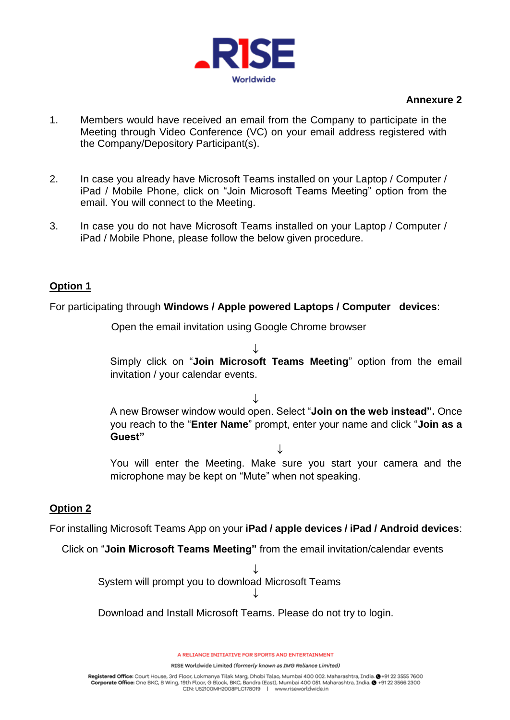

### **Annexure 2**

- 1. Members would have received an email from the Company to participate in the Meeting through Video Conference (VC) on your email address registered with the Company/Depository Participant(s).
- 2. In case you already have Microsoft Teams installed on your Laptop / Computer / iPad / Mobile Phone, click on "Join Microsoft Teams Meeting" option from the email. You will connect to the Meeting.
- 3. In case you do not have Microsoft Teams installed on your Laptop / Computer / iPad / Mobile Phone, please follow the below given procedure.

# **Option 1**

For participating through **Windows / Apple powered Laptops / Computer devices**:

Open the email invitation using Google Chrome browser

 $\downarrow$ Simply click on "**Join Microsoft Teams Meeting**" option from the email invitation / your calendar events.

 $\downarrow$ A new Browser window would open. Select "**Join on the web instead".** Once you reach to the "**Enter Name**" prompt, enter your name and click "**Join as a Guest"** 

You will enter the Meeting. Make sure you start your camera and the microphone may be kept on "Mute" when not speaking.

 $\downarrow$ 

# **Option 2**

For installing Microsoft Teams App on your **iPad / apple devices / iPad / Android devices**:

Click on "**Join Microsoft Teams Meeting"** from the email invitation/calendar events

 $\downarrow$ System will prompt you to download Microsoft Teams  $\downarrow$ 

Download and Install Microsoft Teams. Please do not try to login.

A RELIANCE INITIATIVE FOR SPORTS AND ENTERTAINMENT

RISE Worldwide Limited (formerly known as IMG Reliance Limited)

Registered Office: Court House, 3rd Floor, Lokmanya Tilak Marg, Dhobi Talao, Mumbai 400 002. Maharashtra, India. @+91 22 3555 7600 Corporate Office: One BKC, B Wing, 19th Floor, G Block, BKC, Bandra (East), Mumbai 400 051. Maharashtra, India. @ +91 22 3566 2300 CIN: U52100MH2008PLC178019 | www.riseworldwide.in